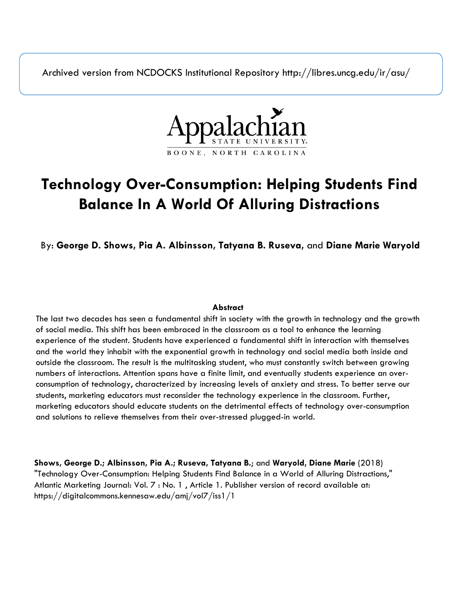Archived version from NCDOCKS Institutional Repository http://libres.uncg.edu/ir/asu/



# **Technology Over-Consumption: Helping Students Find Balance In A World Of Alluring Distractions**

By: **George D. Shows, Pia A. Albinsson, Tatyana B. Ruseva,** and **Diane Marie Waryold**

#### **Abstract**

The last two decades has seen a fundamental shift in society with the growth in technology and the growth of social media. This shift has been embraced in the classroom as a tool to enhance the learning experience of the student. Students have experienced a fundamental shift in interaction with themselves and the world they inhabit with the exponential growth in technology and social media both inside and outside the classroom. The result is the multitasking student, who must constantly switch between growing numbers of interactions. Attention spans have a finite limit, and eventually students experience an overconsumption of technology, characterized by increasing levels of anxiety and stress. To better serve our students, marketing educators must reconsider the technology experience in the classroom. Further, marketing educators should educate students on the detrimental effects of technology over-consumption and solutions to relieve themselves from their over-stressed plugged-in world.

**Shows, George D.; Albinsson, Pia A.; Ruseva, Tatyana B.**; and **Waryold, Diane Marie** (2018) "Technology Over-Consumption: Helping Students Find Balance in a World of Alluring Distractions," Atlantic Marketing Journal: Vol. 7 : No. 1 , Article 1. Publisher version of record available at: https://digitalcommons.kennesaw.edu/amj/vol7/iss1/1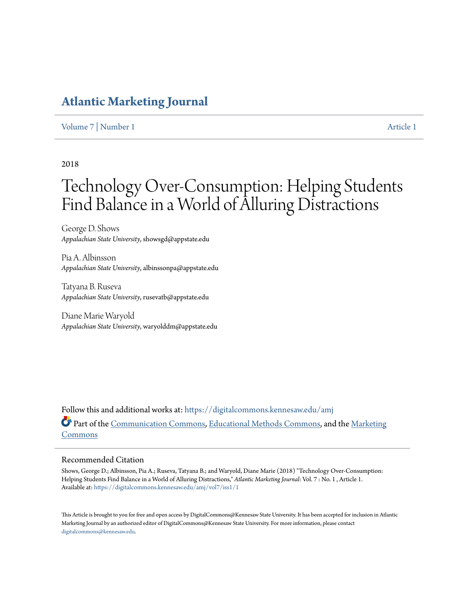## **[Atlantic Marketing Journal](https://digitalcommons.kennesaw.edu/amj?utm_source=digitalcommons.kennesaw.edu%2Famj%2Fvol7%2Fiss1%2F1&utm_medium=PDF&utm_campaign=PDFCoverPages)**

[Volume 7](https://digitalcommons.kennesaw.edu/amj/vol7?utm_source=digitalcommons.kennesaw.edu%2Famj%2Fvol7%2Fiss1%2F1&utm_medium=PDF&utm_campaign=PDFCoverPages) | [Number 1](https://digitalcommons.kennesaw.edu/amj/vol7/iss1?utm_source=digitalcommons.kennesaw.edu%2Famj%2Fvol7%2Fiss1%2F1&utm_medium=PDF&utm_campaign=PDFCoverPages) [Article 1](https://digitalcommons.kennesaw.edu/amj/vol7/iss1/1?utm_source=digitalcommons.kennesaw.edu%2Famj%2Fvol7%2Fiss1%2F1&utm_medium=PDF&utm_campaign=PDFCoverPages)

#### 2018

# Technology Over-Consumption: Helping Students Find Balance in a World of Alluring Distractions

George D. Shows *Appalachian State University*, showsgd@appstate.edu

Pia A. Albinsson *Appalachian State University*, albinssonpa@appstate.edu

Tatyana B. Ruseva *Appalachian State University*, rusevatb@appstate.edu

Diane Marie Waryold *Appalachian State University*, waryolddm@appstate.edu

Follow this and additional works at: [https://digitalcommons.kennesaw.edu/amj](https://digitalcommons.kennesaw.edu/amj?utm_source=digitalcommons.kennesaw.edu%2Famj%2Fvol7%2Fiss1%2F1&utm_medium=PDF&utm_campaign=PDFCoverPages) Part of the [Communication Commons](http://network.bepress.com/hgg/discipline/325?utm_source=digitalcommons.kennesaw.edu%2Famj%2Fvol7%2Fiss1%2F1&utm_medium=PDF&utm_campaign=PDFCoverPages), [Educational Methods Commons,](http://network.bepress.com/hgg/discipline/1227?utm_source=digitalcommons.kennesaw.edu%2Famj%2Fvol7%2Fiss1%2F1&utm_medium=PDF&utm_campaign=PDFCoverPages) and the [Marketing](http://network.bepress.com/hgg/discipline/638?utm_source=digitalcommons.kennesaw.edu%2Famj%2Fvol7%2Fiss1%2F1&utm_medium=PDF&utm_campaign=PDFCoverPages) [Commons](http://network.bepress.com/hgg/discipline/638?utm_source=digitalcommons.kennesaw.edu%2Famj%2Fvol7%2Fiss1%2F1&utm_medium=PDF&utm_campaign=PDFCoverPages)

#### Recommended Citation

Shows, George D.; Albinsson, Pia A.; Ruseva, Tatyana B.; and Waryold, Diane Marie (2018) "Technology Over-Consumption: Helping Students Find Balance in a World of Alluring Distractions," *Atlantic Marketing Journal*: Vol. 7 : No. 1 , Article 1. Available at: [https://digitalcommons.kennesaw.edu/amj/vol7/iss1/1](https://digitalcommons.kennesaw.edu/amj/vol7/iss1/1?utm_source=digitalcommons.kennesaw.edu%2Famj%2Fvol7%2Fiss1%2F1&utm_medium=PDF&utm_campaign=PDFCoverPages)

This Article is brought to you for free and open access by DigitalCommons@Kennesaw State University. It has been accepted for inclusion in Atlantic Marketing Journal by an authorized editor of DigitalCommons@Kennesaw State University. For more information, please contact [digitalcommons@kennesaw.edu.](mailto:digitalcommons@kennesaw.edu)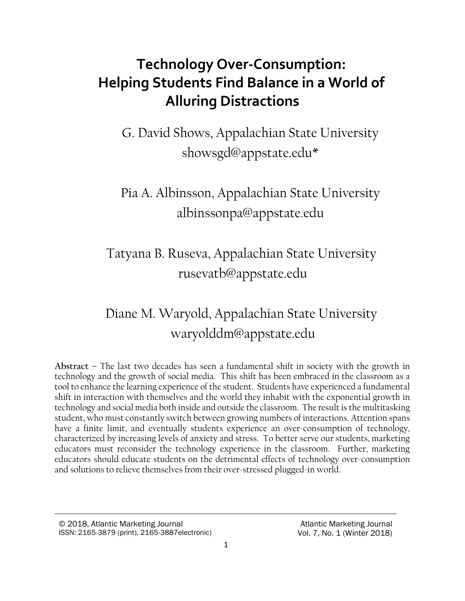# **Technology Over-Consumption: Helping Students Find Balance in a World of Alluring Distractions**

G. David Shows, Appalachian State University [showsgd@appstate.edu\\*](file://///ustor.appstate.edu/~/Documents/Documents/Research%20Papers/State%20Versus%20Local%20Welcome%20Centers/showsgd@appstate.edu)

## Pia A. Albinsson, Appalachian State University [albinssonpa@appstate.edu](file:///C:/Users/albinssonpa/Downloads/albinssonpa@appstate.edu)

## Tatyana B. Ruseva, Appalachian State University [rusevatb@appstate.edu](mailto:rusevatb@appstate.edu)

# Diane M. Waryold, Appalachian State University [waryolddm@appstate.edu](mailto:waryolddm@appstate.edu)

**Abstract –** The last two decades has seen a fundamental shift in society with the growth in technology and the growth of social media. This shift has been embraced in the classroom as a tool to enhance the learning experience of the student. Students have experienced a fundamental shift in interaction with themselves and the world they inhabit with the exponential growth in technology and social media both inside and outside the classroom. The result is the multitasking student, who must constantly switch between growing numbers of interactions. Attention spans have a finite limit, and eventually students experience an over-consumption of technology, characterized by increasing levels of anxiety and stress. To better serve our students, marketing educators must reconsider the technology experience in the classroom. Further, marketing educators should educate students on the detrimental effects of technology over-consumption and solutions to relieve themselves from their over-stressed plugged-in world.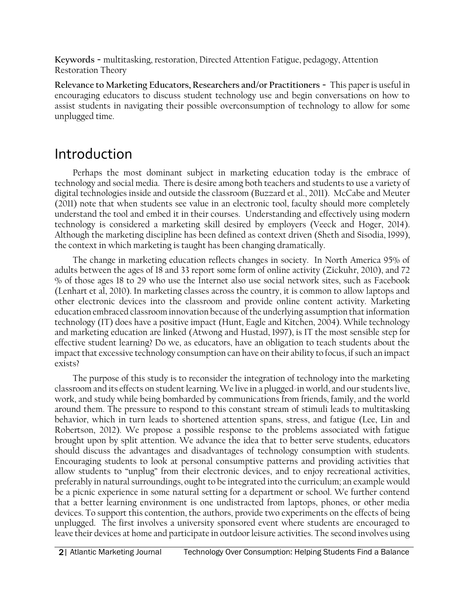**Keywords −** multitasking, restoration, Directed Attention Fatigue, pedagogy, Attention Restoration Theory

**Relevance to Marketing Educators, Researchers and/or Practitioners −** This paper is useful in encouraging educators to discuss student technology use and begin conversations on how to assist students in navigating their possible overconsumption of technology to allow for some unplugged time.

## Introduction

Perhaps the most dominant subject in marketing education today is the embrace of technology and social media. There is desire among both teachers and students to use a variety of digital technologies inside and outside the classroom (Buzzard et al., 2011). McCabe and Meuter (2011) note that when students see value in an electronic tool, faculty should more completely understand the tool and embed it in their courses. Understanding and effectively using modern technology is considered a marketing skill desired by employers (Veeck and Hoger, 2014). Although the marketing discipline has been defined as context driven (Sheth and Sisodia, 1999), the context in which marketing is taught has been changing dramatically.

The change in marketing education reflects changes in society. In North America 95% of adults between the ages of 18 and 33 report some form of online activity (Zickuhr, 2010), and 72 % of those ages 18 to 29 who use the Internet also use social network sites, such as Facebook (Lenhart et al, 2010). In marketing classes across the country, it is common to allow laptops and other electronic devices into the classroom and provide online content activity. Marketing education embraced classroom innovation because of the underlying assumption that information technology (IT) does have a positive impact (Hunt, Eagle and Kitchen, 2004). While technology and marketing education are linked (Atwong and Hustad, 1997), is IT the most sensible step for effective student learning? Do we, as educators, have an obligation to teach students about the impact that excessive technology consumption can have on their ability to focus, if such an impact exists?

The purpose of this study is to reconsider the integration of technology into the marketing classroom and its effects on student learning. We live in a plugged-in world, and our students live, work, and study while being bombarded by communications from friends, family, and the world around them. The pressure to respond to this constant stream of stimuli leads to multitasking behavior, which in turn leads to shortened attention spans, stress, and fatigue (Lee, Lin and Robertson, 2012). We propose a possible response to the problems associated with fatigue brought upon by split attention. We advance the idea that to better serve students, educators should discuss the advantages and disadvantages of technology consumption with students. Encouraging students to look at personal consumptive patterns and providing activities that allow students to "unplug" from their electronic devices, and to enjoy recreational activities, preferably in natural surroundings, ought to be integrated into the curriculum; an example would be a picnic experience in some natural setting for a department or school. We further contend that a better learning environment is one undistracted from laptops, phones, or other media devices. To support this contention, the authors, provide two experiments on the effects of being unplugged. The first involves a university sponsored event where students are encouraged to leave their devices at home and participate in outdoor leisure activities. The second involves using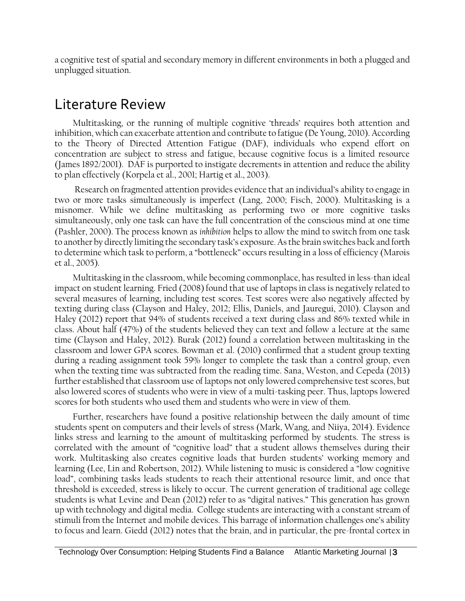a cognitive test of spatial and secondary memory in different environments in both a plugged and unplugged situation.

## Literature Review

Multitasking, or the running of multiple cognitive 'threads' requires both attention and inhibition, which can exacerbate attention and contribute to fatigue (De Young, 2010). According to the Theory of Directed Attention Fatigue (DAF), individuals who expend effort on concentration are subject to stress and fatigue, because cognitive focus is a limited resource (James 1892/2001). DAF is purported to instigate decrements in attention and reduce the ability to plan effectively (Korpela et al., 2001; Hartig et al., 2003).

Research on fragmented attention provides evidence that an individual's ability to engage in two or more tasks simultaneously is imperfect (Lang, 2000; Fisch, 2000). Multitasking is a misnomer. While we define multitasking as performing two or more cognitive tasks simultaneously, only one task can have the full concentration of the conscious mind at one time (Pashler, 2000). The process known as *inhibition* helps to allow the mind to switch from one task to another by directly limiting the secondary task's exposure. As the brain switches back and forth to determine which task to perform, a "bottleneck" occurs resulting in a loss of efficiency (Marois et al., 2005).

Multitasking in the classroom, while becoming commonplace, has resulted in less-than ideal impact on student learning. Fried (2008) found that use of laptops in class is negatively related to several measures of learning, including test scores. Test scores were also negatively affected by texting during class (Clayson and Haley, 2012; Ellis, Daniels, and Jauregui, 2010). Clayson and Haley (2012) report that 94% of students received a text during class and 86% texted while in class. About half (47%) of the students believed they can text and follow a lecture at the same time (Clayson and Haley, 2012). Burak (2012) found a correlation between multitasking in the classroom and lower GPA scores. Bowman et al. (2010) confirmed that a student group texting during a reading assignment took 59% longer to complete the task than a control group, even when the texting time was subtracted from the reading time. Sana, Weston, and Cepeda (2013) further established that classroom use of laptops not only lowered comprehensive test scores, but also lowered scores of students who were in view of a multi-tasking peer. Thus, laptops lowered scores for both students who used them and students who were in view of them.

Further, researchers have found a positive relationship between the daily amount of time students spent on computers and their levels of stress (Mark, Wang, and Niiya, 2014). Evidence links stress and learning to the amount of multitasking performed by students. The stress is correlated with the amount of "cognitive load" that a student allows themselves during their work. Multitasking also creates cognitive loads that burden students' working memory and learning (Lee, Lin and Robertson, 2012). While listening to music is considered a "low cognitive load", combining tasks leads students to reach their attentional resource limit, and once that threshold is exceeded, stress is likely to occur. The current generation of traditional age college students is what Levine and Dean (2012) refer to as "digital natives." This generation has grown up with technology and digital media. College students are interacting with a constant stream of stimuli from the Internet and mobile devices. This barrage of information challenges one's ability to focus and learn. Giedd (2012) notes that the brain, and in particular, the pre-frontal cortex in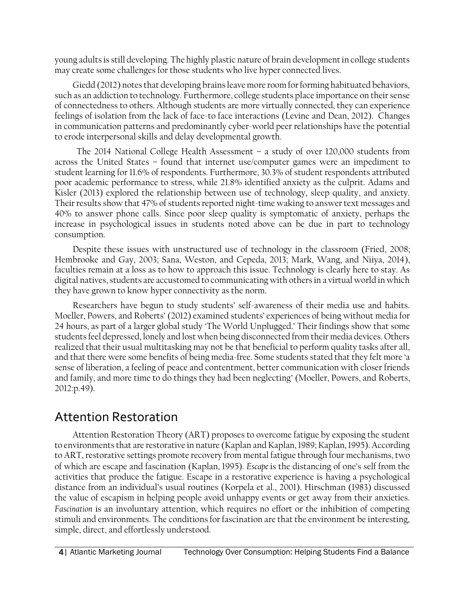young adults is still developing. The highly plastic nature of brain development in college students may create some challenges for those students who live hyper connected lives.

Giedd (2012) notes that developing brains leave more room for forming habituated behaviors, such as an addiction to technology. Furthermore, college students place importance on their sense of connectedness to others. Although students are more virtually connected, they can experience feelings of isolation from the lack of face-to face interactions (Levine and Dean, 2012). Changes in communication patterns and predominantly cyber-world peer relationships have the potential to erode interpersonal skills and delay developmental growth.

 The 2014 National College Health Assessment – a study of over 120,000 students from across the United States – found that internet use/computer games were an impediment to student learning for 11.6% of respondents. Furthermore, 30.3% of student respondents attributed poor academic performance to stress, while 21.8% identified anxiety as the culprit. Adams and Kisler (2013) explored the relationship between use of technology, sleep quality, and anxiety. Their results show that 47% of students reported night-time waking to answer text messages and 40% to answer phone calls. Since poor sleep quality is symptomatic of anxiety, perhaps the increase in psychological issues in students noted above can be due in part to technology consumption.

Despite these issues with unstructured use of technology in the classroom (Fried, 2008; Hembrooke and Gay, 2003; Sana, Weston, and Cepeda, 2013; Mark, Wang, and Niiya, 2014), faculties remain at a loss as to how to approach this issue. Technology is clearly here to stay. As digital natives, students are accustomed to communicating with others in a virtual world in which they have grown to know hyper connectivity as the norm.

Researchers have begun to study students' self-awareness of their media use and habits. Moeller, Powers, and Roberts' (2012) examined students' experiences of being without media for 24 hours, as part of a larger global study 'The World Unplugged.' Their findings show that some students feel depressed, lonely and lost when being disconnected from their media devices. Others realized that their usual multitasking may not be that beneficial to perform quality tasks after all, and that there were some benefits of being media-free. Some students stated that they felt more 'a sense of liberation, a feeling of peace and contentment, better communication with closer friends and family, and more time to do things they had been neglecting' (Moeller, Powers, and Roberts, 2012:p.49).

## Attention Restoration

Attention Restoration Theory (ART) proposes to overcome fatigue by exposing the student to environments that are restorative in nature (Kaplan and Kaplan, 1989; Kaplan, 1995). According to ART, restorative settings promote recovery from mental fatigue through four mechanisms, two of which are escape and fascination (Kaplan, 1995). *Escape* is the distancing of one's self from the activities that produce the fatigue. Escape in a restorative experience is having a psychological distance from an individual's usual routines (Korpela et al., 2001). Hirschman (1983) discussed the value of escapism in helping people avoid unhappy events or get away from their anxieties. *Fascination* is an involuntary attention, which requires no effort or the inhibition of competing stimuli and environments. The conditions for fascination are that the environment be interesting, simple, direct, and effortlessly understood.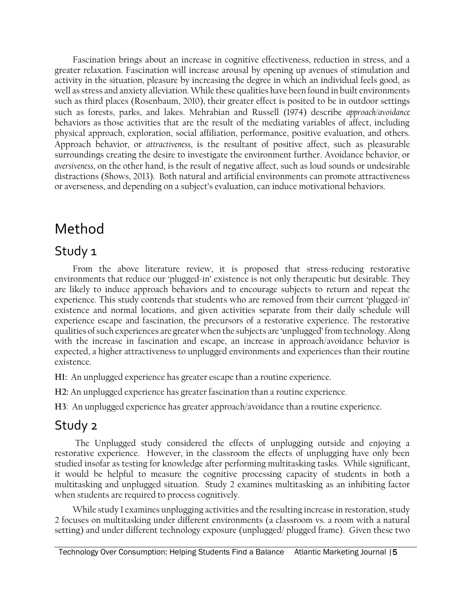Fascination brings about an increase in cognitive effectiveness, reduction in stress, and a greater relaxation. Fascination will increase arousal by opening up avenues of stimulation and activity in the situation, pleasure by increasing the degree in which an individual feels good, as well as stress and anxiety alleviation. While these qualities have been found in built environments such as third places (Rosenbaum, 2010), their greater effect is posited to be in outdoor settings such as forests, parks, and lakes. Mehrabian and Russell (1974) describe *approach/avoidance*  behaviors as those activities that are the result of the mediating variables of affect, including physical approach, exploration, social affiliation, performance, positive evaluation, and others. Approach behavior, or *attractiveness*, is the resultant of positive affect, such as pleasurable surroundings creating the desire to investigate the environment further. Avoidance behavior, or *aversiveness*, on the other hand, is the result of negative affect, such as loud sounds or undesirable distractions (Shows, 2013). Both natural and artificial environments can promote attractiveness or averseness, and depending on a subject's evaluation, can induce motivational behaviors.

# Method

### Study 1

From the above literature review, it is proposed that stress-reducing restorative environments that reduce our 'plugged-in' existence is not only therapeutic but desirable. They are likely to induce approach behaviors and to encourage subjects to return and repeat the experience. This study contends that students who are removed from their current 'plugged-in' existence and normal locations, and given activities separate from their daily schedule will experience escape and fascination, the precursors of a restorative experience. The restorative qualities of such experiences are greater when the subjects are 'unplugged' from technology. Along with the increase in fascination and escape, an increase in approach/avoidance behavior is expected, a higher attractiveness to unplugged environments and experiences than their routine existence.

**H1:** An unplugged experience has greater escape than a routine experience.

**H2:** An unplugged experience has greater fascination than a routine experience.

**H3**: An unplugged experience has greater approach/avoidance than a routine experience.

### Study 2

The Unplugged study considered the effects of unplugging outside and enjoying a restorative experience. However, in the classroom the effects of unplugging have only been studied insofar as testing for knowledge after performing multitasking tasks. While significant, it would be helpful to measure the cognitive processing capacity of students in both a multitasking and unplugged situation. Study 2 examines multitasking as an inhibiting factor when students are required to process cognitively.

While study 1 examines unplugging activities and the resulting increase in restoration, study 2 focuses on multitasking under different environments (a classroom vs. a room with a natural setting) and under different technology exposure (unplugged/ plugged frame). Given these two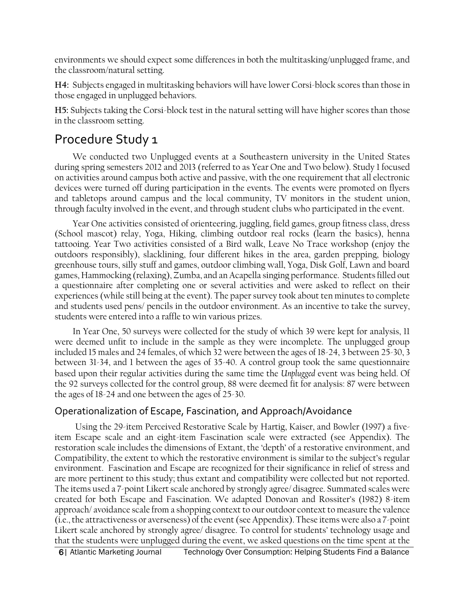environments we should expect some differences in both the multitasking/unplugged frame, and the classroom/natural setting.

**H4:** Subjects engaged in multitasking behaviors will have lower Corsi-block scores than those in those engaged in unplugged behaviors.

**H5:** Subjects taking the Corsi-block test in the natural setting will have higher scores than those in the classroom setting.

## Procedure Study 1

We conducted two Unplugged events at a Southeastern university in the United States during spring semesters 2012 and 2013 (referred to as Year One and Two below). Study 1 focused on activities around campus both active and passive, with the one requirement that all electronic devices were turned off during participation in the events. The events were promoted on flyers and tabletops around campus and the local community, TV monitors in the student union, through faculty involved in the event, and through student clubs who participated in the event.

Year One activities consisted of orienteering, juggling, field games, group fitness class, dress (School mascot) relay, Yoga, Hiking, climbing outdoor real rocks (learn the basics), henna tattooing. Year Two activities consisted of a Bird walk, Leave No Trace workshop (enjoy the outdoors responsibly), slacklining, four different hikes in the area, garden prepping, biology greenhouse tours, silly stuff and games, outdoor climbing wall, Yoga, Disk Golf, Lawn and board games, Hammocking (relaxing), Zumba, and an Acapella singing performance. Students filled out a questionnaire after completing one or several activities and were asked to reflect on their experiences (while still being at the event). The paper survey took about ten minutes to complete and students used pens/ pencils in the outdoor environment. As an incentive to take the survey, students were entered into a raffle to win various prizes.

In Year One, 50 surveys were collected for the study of which 39 were kept for analysis, 11 were deemed unfit to include in the sample as they were incomplete. The unplugged group included 15 males and 24 females, of which 32 were between the ages of 18-24, 3 between 25-30, 3 between 31-34, and 1 between the ages of 35-40. A control group took the same questionnaire based upon their regular activities during the same time the *Unplugged* event was being held. Of the 92 surveys collected for the control group, 88 were deemed fit for analysis: 87 were between the ages of 18-24 and one between the ages of 25-30.

### Operationalization of Escape, Fascination, and Approach/Avoidance

Using the 29-item Perceived Restorative Scale by Hartig, Kaiser, and Bowler (1997) a fiveitem Escape scale and an eight-item Fascination scale were extracted (see Appendix). The restoration scale includes the dimensions of Extant, the 'depth' of a restorative environment, and Compatibility, the extent to which the restorative environment is similar to the subject's regular environment. Fascination and Escape are recognized for their significance in relief of stress and are more pertinent to this study; thus extant and compatibility were collected but not reported. The items used a 7-point Likert scale anchored by strongly agree/ disagree. Summated scales were created for both Escape and Fascination. We adapted Donovan and Rossiter's (1982) 8-item approach/ avoidance scale from a shopping context to our outdoor context to measure the valence (i.e., the attractiveness or averseness) of the event (see Appendix). These items were also a 7-point Likert scale anchored by strongly agree/ disagree. To control for students' technology usage and that the students were unplugged during the event, we asked questions on the time spent at the

6| Atlantic Marketing Journal Technology Over Consumption: Helping Students Find a Balance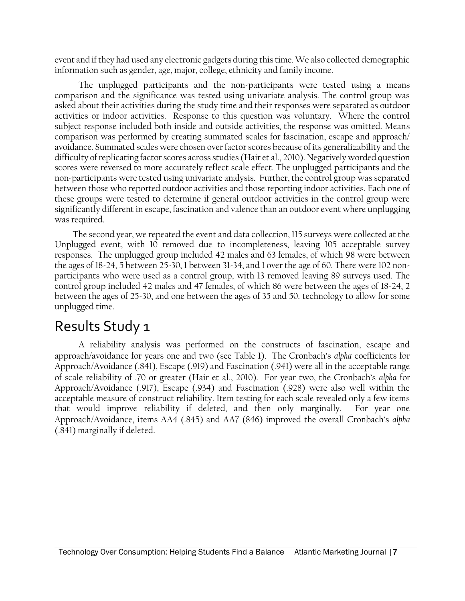event and if they had used any electronic gadgets during this time. We also collected demographic information such as gender, age, major, college, ethnicity and family income.

The unplugged participants and the non-participants were tested using a means comparison and the significance was tested using univariate analysis. The control group was asked about their activities during the study time and their responses were separated as outdoor activities or indoor activities. Response to this question was voluntary. Where the control subject response included both inside and outside activities, the response was omitted. Means comparison was performed by creating summated scales for fascination, escape and approach/ avoidance. Summated scales were chosen over factor scores because of its generalizability and the difficulty of replicating factor scores across studies (Hair et al., 2010). Negatively worded question scores were reversed to more accurately reflect scale effect. The unplugged participants and the non-participants were tested using univariate analysis. Further, the control group was separated between those who reported outdoor activities and those reporting indoor activities. Each one of these groups were tested to determine if general outdoor activities in the control group were significantly different in escape, fascination and valence than an outdoor event where unplugging was required.

The second year, we repeated the event and data collection, 115 surveys were collected at the Unplugged event, with 10 removed due to incompleteness, leaving 105 acceptable survey responses. The unplugged group included 42 males and 63 females, of which 98 were between the ages of 18-24, 5 between 25-30, 1 between 31-34, and 1 over the age of 60. There were 102 nonparticipants who were used as a control group, with 13 removed leaving 89 surveys used. The control group included 42 males and 47 females, of which 86 were between the ages of 18-24, 2 between the ages of 25-30, and one between the ages of 35 and 50. technology to allow for some unplugged time.

## Results Study 1

A reliability analysis was performed on the constructs of fascination, escape and approach/avoidance for years one and two (see Table 1). The Cronbach's *alpha* coefficients for Approach/Avoidance (.841), Escape (.919) and Fascination (.941) were all in the acceptable range of scale reliability of .70 or greater (Hair et al., 2010). For year two, the Cronbach's *alpha* for Approach/Avoidance (.917), Escape (.934) and Fascination (.928) were also well within the acceptable measure of construct reliability. Item testing for each scale revealed only a few items that would improve reliability if deleted, and then only marginally. For year one Approach/Avoidance, items AA4 (.845) and AA7 (846) improved the overall Cronbach's *alpha* (.841) marginally if deleted.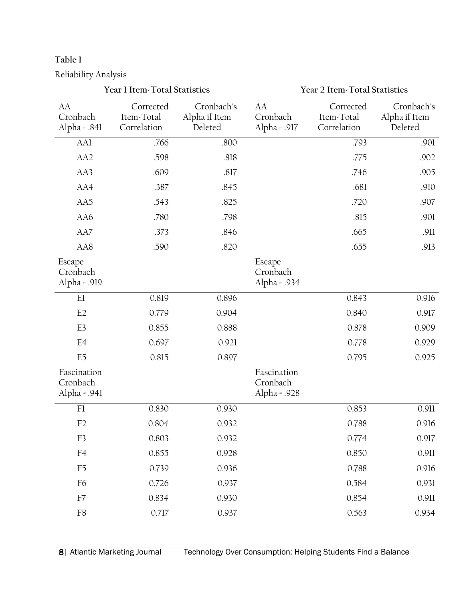#### **Table 1**

Reliability Analysis

#### AA Cronbach Alpha = .841 Corrected Item-Total Correlation Cronbach's Alpha if Item Deleted AA Cronbach Alpha = .917 Corrected Item-Total Correlation Cronbach's Alpha if Item Deleted AA1 .766 .800 .800 .793 .901 AA2 .598 .818 .818 .775 .902 AA3 .609 .609 .817 .746 .905 AA4 .387 .387 .845 .681 .910 AA5 .543 .825 .720 .907 AA6 .780 .798 .815 .901 AA7 .373 .846 .665 .911 AA8 .590 .820 .655 .913 Escape Cronbach Alpha = .919 Escape Cronbach Alpha = .934 E1 0.819 0.896 0.843 0.916 E2 0.779 0.904 0.840 0.917 E3 0.855 0.888 0.878 0.909 E4 0.697 0.921 0.778 0.929 E5 0.815 0.897 0.795 0.925 Fascination Cronbach Alpha = .941 Fascination Cronbach Alpha = .928 F1 0.830 0.930 0.930 0.853 0.911 F2 0.804 0.932 0.788 0.916 F3 0.803 0.932 0.774 0.917 F4 0.855 0.928 0.850 0.911 F5 0.739 0.936 0.788 0.916 F6 0.726 0.937 0.584 0.931 F7 0.834 0.930 0.854 0.911 F8 0.717 0.937 0.563 0.934

**Year 1 Item-Total Statistics Year 2 Item-Total Statistics**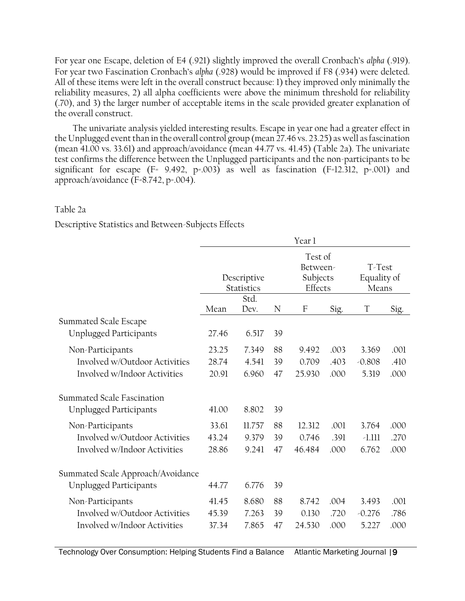For year one Escape, deletion of E4 (.921) slightly improved the overall Cronbach's *alpha* (.919). For year two Fascination Cronbach's *alpha* (.928) would be improved if F8 (.934) were deleted. All of these items were left in the overall construct because: 1) they improved only minimally the reliability measures, 2) all alpha coefficients were above the minimum threshold for reliability (.70), and 3) the larger number of acceptable items in the scale provided greater explanation of the overall construct.

The univariate analysis yielded interesting results. Escape in year one had a greater effect in the Unplugged event than in the overall control group (mean 27.46 vs. 23.25) as well as fascination (mean 41.00 vs. 33.61) and approach/avoidance (mean 44.77 vs. 41.45) (Table 2a). The univariate test confirms the difference between the Unplugged participants and the non-participants to be significant for escape ( $F = 9.492$ , p=.003) as well as fascination ( $F = 12.312$ , p=.001) and approach/avoidance (F=8.742, p=.004).

#### Table 2a

Descriptive Statistics and Between-Subjects Effects

|                                   | Year 1                    |        |    |                                            |      |                                |      |
|-----------------------------------|---------------------------|--------|----|--------------------------------------------|------|--------------------------------|------|
|                                   | Descriptive<br>Statistics |        |    | Test of<br>Between-<br>Subjects<br>Effects |      | T-Test<br>Equality of<br>Means |      |
|                                   | Std.                      |        |    |                                            |      |                                |      |
|                                   | Mean                      | Dev.   | N  | $\mathbf{F}$                               | Sig. | T                              | Sig. |
| Summated Scale Escape             |                           |        |    |                                            |      |                                |      |
| <b>Unplugged Participants</b>     | 27.46                     | 6.517  | 39 |                                            |      |                                |      |
| Non-Participants                  | 23.25                     | 7.349  | 88 | 9.492                                      | .003 | 3.369                          | .001 |
| Involved w/Outdoor Activities     | 28.74                     | 4.541  | 39 | 0.709                                      | .403 | $-0.808$                       | .410 |
| Involved w/Indoor Activities      | 20.91                     | 6.960  | 47 | 25.930                                     | .000 | 5.319                          | .000 |
| Summated Scale Fascination        |                           |        |    |                                            |      |                                |      |
| <b>Unplugged Participants</b>     | 41.00                     | 8.802  | 39 |                                            |      |                                |      |
| Non-Participants                  | 33.61                     | 11.757 | 88 | 12.312                                     | .001 | 3.764                          | .000 |
| Involved w/Outdoor Activities     | 43.24                     | 9.379  | 39 | 0.746                                      | .391 | $-1.111$                       | .270 |
| Involved w/Indoor Activities      | 28.86                     | 9.241  | 47 | 46.484                                     | .000 | 6.762                          | .000 |
| Summated Scale Approach/Avoidance |                           |        |    |                                            |      |                                |      |
| <b>Unplugged Participants</b>     | 44.77                     | 6.776  | 39 |                                            |      |                                |      |
|                                   |                           |        |    |                                            |      |                                |      |
| Non-Participants                  | 41.45                     | 8.680  | 88 | 8.742                                      | .004 | 3.493                          | .001 |
| Involved w/Outdoor Activities     | 45.39                     | 7.263  | 39 | 0.130                                      | .720 | $-0.276$                       | .786 |
| Involved w/Indoor Activities      | 37.34                     | 7.865  | 47 | 24.530                                     | .000 | 5.227                          | .000 |
|                                   |                           |        |    |                                            |      |                                |      |

Technology Over Consumption: Helping Students Find a Balance Atlantic Marketing Journal |9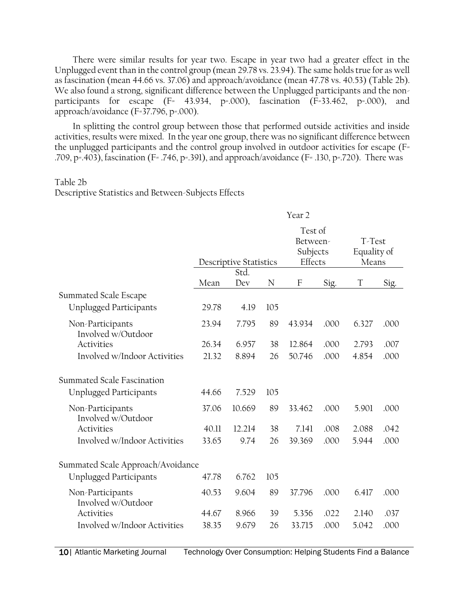There were similar results for year two. Escape in year two had a greater effect in the Unplugged event than in the control group (mean 29.78 vs. 23.94). The same holds true for as well as fascination (mean 44.66 vs. 37.06) and approach/avoidance (mean 47.78 vs. 40.53) (Table 2b). We also found a strong, significant difference between the Unplugged participants and the nonparticipants for escape  $(F= 43.934, p=.000)$ , fascination  $(F=33.462, p=.000)$ , and approach/avoidance (F=37.796, p=.000).

In splitting the control group between those that performed outside activities and inside activities, results were mixed. In the year one group, there was no significant difference between the unplugged participants and the control group involved in outdoor activities for escape (F= .709, p=.403), fascination (F= .746, p=.391), and approach/avoidance (F= .130, p=.720). There was

#### Table 2b

Descriptive Statistics and Between-Subjects Effects

|                                        | Year <sub>2</sub>      |        |     |                                            |      |                                |      |
|----------------------------------------|------------------------|--------|-----|--------------------------------------------|------|--------------------------------|------|
|                                        | Descriptive Statistics |        |     | Test of<br>Between-<br>Subjects<br>Effects |      | T-Test<br>Equality of<br>Means |      |
|                                        |                        | Std.   |     |                                            |      |                                |      |
| Summated Scale Escape                  | Mean                   | Dev    | N   | $\mathbf{F}$                               | Sig. | T                              | Sig. |
| <b>Unplugged Participants</b>          | 29.78                  | 4.19   | 105 |                                            |      |                                |      |
| Non-Participants<br>Involved w/Outdoor | 23.94                  | 7.795  | 89  | 43.934                                     | .000 | 6.327                          | .000 |
| Activities                             | 26.34                  | 6.957  | 38  | 12.864                                     | .000 | 2.793                          | .007 |
| Involved w/Indoor Activities           | 21.32                  | 8.894  | 26  | 50.746                                     | .000 | 4.854                          | .000 |
| Summated Scale Fascination             |                        |        |     |                                            |      |                                |      |
| <b>Unplugged Participants</b>          | 44.66                  | 7.529  | 105 |                                            |      |                                |      |
| Non-Participants<br>Involved w/Outdoor | 37.06                  | 10.669 | 89  | 33.462                                     | .000 | 5.901                          | .000 |
| Activities                             | 40.11                  | 12.214 | 38  | 7.141                                      | .008 | 2.088                          | .042 |
| Involved w/Indoor Activities           | 33.65                  | 9.74   | 26  | 39.369                                     | .000 | 5.944                          | .000 |
| Summated Scale Approach/Avoidance      |                        |        |     |                                            |      |                                |      |
| <b>Unplugged Participants</b>          | 47.78                  | 6.762  | 105 |                                            |      |                                |      |
| Non-Participants<br>Involved w/Outdoor | 40.53                  | 9.604  | 89  | 37.796                                     | .000 | 6.417                          | .000 |
| Activities                             | 44.67                  | 8.966  | 39  | 5.356                                      | .022 | 2.140                          | .037 |
| Involved w/Indoor Activities           | 38.35                  | 9.679  | 26  | 33.715                                     | .000 | 5.042                          | .000 |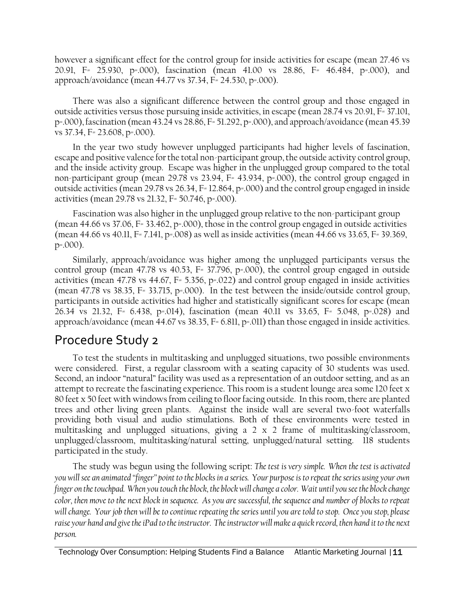however a significant effect for the control group for inside activities for escape (mean 27.46 vs 20.91, F= 25.930, p=.000), fascination (mean 41.00 vs 28.86, F= 46.484, p=.000), and approach/avoidance (mean 44.77 vs 37.34, F= 24.530, p=.000).

There was also a significant difference between the control group and those engaged in outside activities versus those pursuing inside activities, in escape (mean 28.74 vs 20.91, F= 37.101, p=.000), fascination (mean 43.24 vs 28.86, F= 51.292, p=.000), and approach/avoidance (mean 45.39 vs 37.34, F= 23.608, p=.000).

In the year two study however unplugged participants had higher levels of fascination, escape and positive valence for the total non-participant group, the outside activity control group, and the inside activity group. Escape was higher in the unplugged group compared to the total non-participant group (mean 29.78 vs 23.94, F= 43.934, p=.000), the control group engaged in outside activities (mean 29.78 vs 26.34, F= 12.864, p=.000) and the control group engaged in inside activities (mean 29.78 vs 21.32, F= 50.746, p=.000).

Fascination was also higher in the unplugged group relative to the non-participant group (mean 44.66 vs 37.06, F= 33.462, p=.000), those in the control group engaged in outside activities (mean 44.66 vs 40.11, F= 7.141, p=.008) as well as inside activities (mean 44.66 vs 33.65, F= 39.369, p=.000).

Similarly, approach/avoidance was higher among the unplugged participants versus the control group (mean 47.78 vs 40.53, F= 37.796, p=.000), the control group engaged in outside activities (mean 47.78 vs 44.67, F= 5.356, p=.022) and control group engaged in inside activities (mean 47.78 vs 38.35, F= 33.715, p=.000). In the test between the inside/outside control group, participants in outside activities had higher and statistically significant scores for escape (mean 26.34 vs 21.32, F= 6.438, p=.014), fascination (mean 40.11 vs 33.65, F= 5.048, p=.028) and approach/avoidance (mean 44.67 vs 38.35, F= 6.811, p=.011) than those engaged in inside activities.

### Procedure Study 2

To test the students in multitasking and unplugged situations, two possible environments were considered. First, a regular classroom with a seating capacity of 30 students was used. Second, an indoor "natural" facility was used as a representation of an outdoor setting, and as an attempt to recreate the fascinating experience. This room is a student lounge area some 120 feet x 80 feet x 50 feet with windows from ceiling to floor facing outside. In this room, there are planted trees and other living green plants. Against the inside wall are several two-foot waterfalls providing both visual and audio stimulations. Both of these environments were tested in multitasking and unplugged situations, giving a 2 x 2 frame of multitasking/classroom, unplugged/classroom, multitasking/natural setting, unplugged/natural setting. 118 students participated in the study.

The study was begun using the following script: *The test is very simple. When the test is activated you will see an animated "finger" point to the blocks in a series. Your purpose is to repeat the series using your own finger on the touchpad. When you touch the block, the block will change a color. Wait until you see the block change color, then move to the next block in sequence. As you are successful, the sequence and number of blocks to repeat will change. Your job then will be to continue repeating the series until you are told to stop. Once you stop, please raise your hand and give the iPad to the instructor. The instructor will make a quick record, then hand it to the next person.*

Technology Over Consumption: Helping Students Find a Balance Atlantic Marketing Journal | 11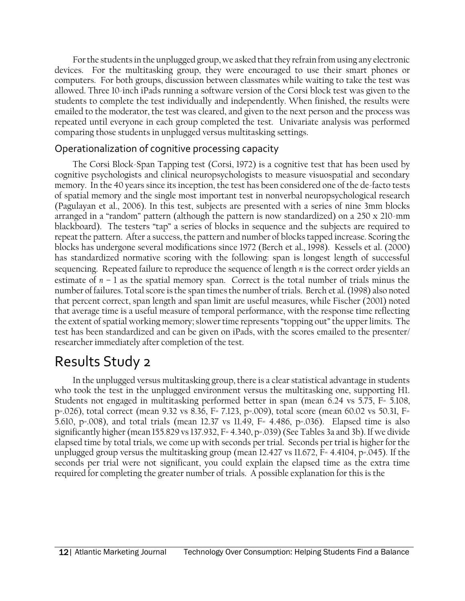For the students in the unplugged group, we asked that they refrain from using any electronic devices. For the multitasking group, they were encouraged to use their smart phones or computers. For both groups, discussion between classmates while waiting to take the test was allowed. Three 10-inch iPads running a software version of the Corsi block test was given to the students to complete the test individually and independently. When finished, the results were emailed to the moderator, the test was cleared, and given to the next person and the process was repeated until everyone in each group completed the test. Univariate analysis was performed comparing those students in unplugged versus multitasking settings.

#### Operationalization of cognitive processing capacity

The Corsi Block-Span Tapping test (Corsi, 1972) is a cognitive test that has been used by cognitive psychologists and clinical neuropsychologists to measure visuospatial and secondary memory. In the 40 years since its inception, the test has been considered one of the de-facto tests of spatial memory and the single most important test in nonverbal neuropsychological research (Pagulayan et al., 2006). In this test, subjects are presented with a series of nine 3mm blocks arranged in a "random" pattern (although the pattern is now standardized) on a 250 x 210-mm blackboard). The testers "tap" a series of blocks in sequence and the subjects are required to repeat the pattern. After a success, the pattern and number of blocks tapped increase. Scoring the blocks has undergone several modifications since 1972 (Berch et al., 1998). Kessels et al. (2000) has standardized normative scoring with the following: span is longest length of successful sequencing. Repeated failure to reproduce the sequence of length *n* is the correct order yields an estimate of *n* – 1 as the spatial memory span. Correct is the total number of trials minus the number of failures. Total score is the span times the number of trials. Berch et al. (1998) also noted that percent correct, span length and span limit are useful measures, while Fischer (2001) noted that average time is a useful measure of temporal performance, with the response time reflecting the extent of spatial working memory; slower time represents "topping out" the upper limits. The test has been standardized and can be given on iPads, with the scores emailed to the presenter/ researcher immediately after completion of the test.

## Results Study 2

In the unplugged versus multitasking group, there is a clear statistical advantage in students who took the test in the unplugged environment versus the multitasking one, supporting H1. Students not engaged in multitasking performed better in span (mean 6.24 vs 5.75, F= 5.108, p=.026), total correct (mean 9.32 vs 8.36, F= 7.123, p=.009), total score (mean 60.02 vs 50.31, F= 5.610, p=.008), and total trials (mean 12.37 vs 11.49, F= 4.486, p=.036). Elapsed time is also significantly higher (mean 155.829 vs 137.932, F= 4.340, p=.039) (See Tables 3a and 3b). If we divide elapsed time by total trials, we come up with seconds per trial. Seconds per trial is higher for the unplugged group versus the multitasking group (mean 12.427 vs 11.672, F= 4.4104, p=.045). If the seconds per trial were not significant, you could explain the elapsed time as the extra time required for completing the greater number of trials. A possible explanation for this is the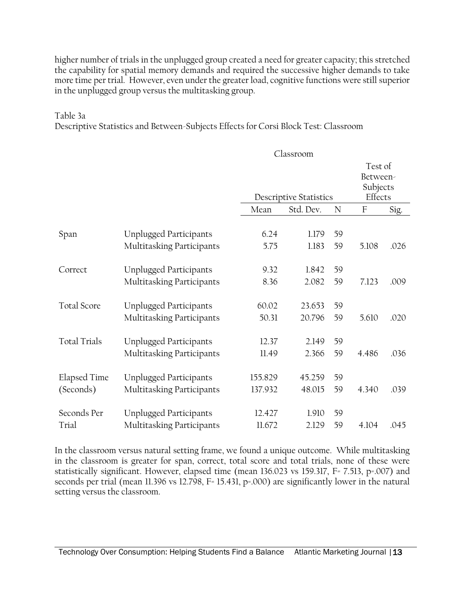higher number of trials in the unplugged group created a need for greater capacity; this stretched the capability for spatial memory demands and required the successive higher demands to take more time per trial. However, even under the greater load, cognitive functions were still superior in the unplugged group versus the multitasking group.

#### Table 3a

Descriptive Statistics and Between-Subjects Effects for Corsi Block Test: Classroom

|                           |                                                            | Classroom          |                               |          |                           |                                            |  |
|---------------------------|------------------------------------------------------------|--------------------|-------------------------------|----------|---------------------------|--------------------------------------------|--|
|                           |                                                            |                    | <b>Descriptive Statistics</b> |          |                           | Test of<br>Between-<br>Subjects<br>Effects |  |
|                           |                                                            | Mean               | Std. Dev.                     | N        | $\boldsymbol{\mathrm{F}}$ | Sig.                                       |  |
| Span                      | <b>Unplugged Participants</b><br>Multitasking Participants | 6.24<br>5.75       | 1.179<br>1.183                | 59<br>59 | 5.108                     | .026                                       |  |
| Correct                   | Unplugged Participants<br>Multitasking Participants        | 9.32<br>8.36       | 1.842<br>2.082                | 59<br>59 | 7.123                     | .009                                       |  |
| <b>Total Score</b>        | <b>Unplugged Participants</b><br>Multitasking Participants | 60.02<br>50.31     | 23.653<br>20.796              | 59<br>59 | 5.610                     | .020                                       |  |
| <b>Total Trials</b>       | <b>Unplugged Participants</b><br>Multitasking Participants | 12.37<br>11.49     | 2.149<br>2.366                | 59<br>59 | 4.486                     | .036                                       |  |
| Elapsed Time<br>(Seconds) | <b>Unplugged Participants</b><br>Multitasking Participants | 155.829<br>137.932 | 45.259<br>48.015              | 59<br>59 | 4.340                     | .039                                       |  |
| Seconds Per<br>Trial      | <b>Unplugged Participants</b><br>Multitasking Participants | 12.427<br>11.672   | 1.910<br>2.129                | 59<br>59 | 4.104                     | .045                                       |  |

In the classroom versus natural setting frame, we found a unique outcome. While multitasking in the classroom is greater for span, correct, total score and total trials, none of these were statistically significant. However, elapsed time (mean 136.023 vs 159.317, F= 7.513, p=.007) and seconds per trial (mean 11.396 vs 12.798, F= 15.431, p=.000) are significantly lower in the natural setting versus the classroom.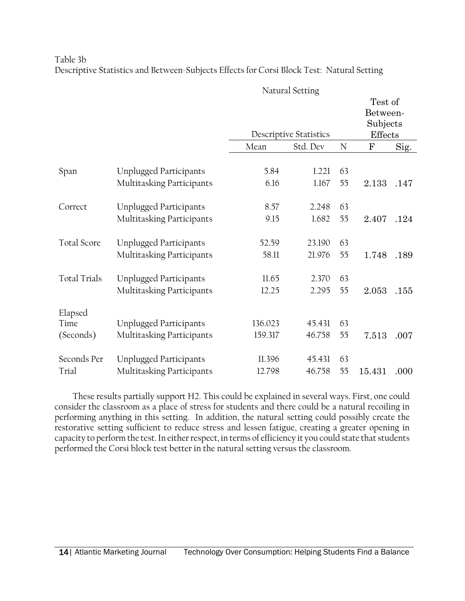Table 3b Descriptive Statistics and Between-Subjects Effects for Corsi Block Test: Natural Setting

|                     |                               | ပ       |                                           |    | Test of<br>Between-<br>Subjects |      |
|---------------------|-------------------------------|---------|-------------------------------------------|----|---------------------------------|------|
|                     |                               | Mean    | <b>Descriptive Statistics</b><br>Std. Dev |    | Effects<br>$\mathbf{F}$         |      |
|                     |                               |         |                                           | N  |                                 | Sig. |
| Span                | <b>Unplugged Participants</b> | 5.84    | 1.221                                     | 63 |                                 |      |
|                     | Multitasking Participants     | 6.16    | 1.167                                     | 55 | 2.133                           | .147 |
| Correct             | <b>Unplugged Participants</b> | 8.57    | 2.248                                     | 63 |                                 |      |
|                     | Multitasking Participants     | 9.15    | 1.682                                     | 55 | 2.407                           | .124 |
| <b>Total Score</b>  | <b>Unplugged Participants</b> | 52.59   | 23.190                                    | 63 |                                 |      |
|                     | Multitasking Participants     | 58.11   | 21.976                                    | 55 | 1.748                           | .189 |
| <b>Total Trials</b> | <b>Unplugged Participants</b> | 11.65   | 2.370                                     | 63 |                                 |      |
|                     | Multitasking Participants     | 12.25   | 2.295                                     | 55 | 2.053                           | .155 |
| Elapsed             |                               |         |                                           |    |                                 |      |
| Time                | <b>Unplugged Participants</b> | 136.023 | 45.431                                    | 63 |                                 |      |
| (Seconds)           | Multitasking Participants     | 159.317 | 46.758                                    | 55 | 7.513                           | .007 |
| Seconds Per         | <b>Unplugged Participants</b> | 11.396  | 45.431                                    | 63 |                                 |      |
| Trial               | Multitasking Participants     | 12.798  | 46.758                                    | 55 | 15.431                          | .000 |

Natural Setting

These results partially support H2. This could be explained in several ways. First, one could consider the classroom as a place of stress for students and there could be a natural recoiling in performing anything in this setting. In addition, the natural setting could possibly create the restorative setting sufficient to reduce stress and lessen fatigue, creating a greater opening in capacity to perform the test. In either respect, in terms of efficiency it you could state that students performed the Corsi block test better in the natural setting versus the classroom.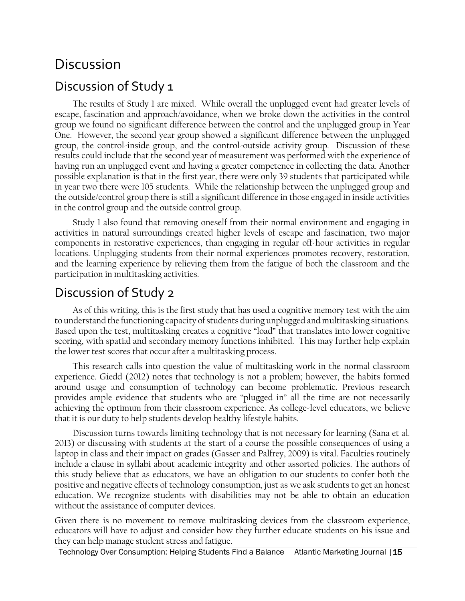## Discussion

### Discussion of Study 1

The results of Study 1 are mixed. While overall the unplugged event had greater levels of escape, fascination and approach/avoidance, when we broke down the activities in the control group we found no significant difference between the control and the unplugged group in Year One. However, the second year group showed a significant difference between the unplugged group, the control-inside group, and the control-outside activity group. Discussion of these results could include that the second year of measurement was performed with the experience of having run an unplugged event and having a greater competence in collecting the data. Another possible explanation is that in the first year, there were only 39 students that participated while in year two there were 105 students. While the relationship between the unplugged group and the outside/control group there is still a significant difference in those engaged in inside activities in the control group and the outside control group.

Study 1 also found that removing oneself from their normal environment and engaging in activities in natural surroundings created higher levels of escape and fascination, two major components in restorative experiences, than engaging in regular off-hour activities in regular locations. Unplugging students from their normal experiences promotes recovery, restoration, and the learning experience by relieving them from the fatigue of both the classroom and the participation in multitasking activities.

## Discussion of Study 2

As of this writing, this is the first study that has used a cognitive memory test with the aim to understand the functioning capacity of students during unplugged and multitasking situations. Based upon the test, multitasking creates a cognitive "load" that translates into lower cognitive scoring, with spatial and secondary memory functions inhibited. This may further help explain the lower test scores that occur after a multitasking process.

This research calls into question the value of multitasking work in the normal classroom experience. Giedd (2012) notes that technology is not a problem; however, the habits formed around usage and consumption of technology can become problematic. Previous research provides ample evidence that students who are "plugged in" all the time are not necessarily achieving the optimum from their classroom experience. As college-level educators, we believe that it is our duty to help students develop healthy lifestyle habits.

Discussion turns towards limiting technology that is not necessary for learning (Sana et al. 2013) or discussing with students at the start of a course the possible consequences of using a laptop in class and their impact on grades (Gasser and Palfrey, 2009) is vital. Faculties routinely include a clause in syllabi about academic integrity and other assorted policies. The authors of this study believe that as educators, we have an obligation to our students to confer both the positive and negative effects of technology consumption, just as we ask students to get an honest education. We recognize students with disabilities may not be able to obtain an education without the assistance of computer devices.

Given there is no movement to remove multitasking devices from the classroom experience, educators will have to adjust and consider how they further educate students on his issue and they can help manage student stress and fatigue.

Technology Over Consumption: Helping Students Find a Balance Atlantic Marketing Journal | 15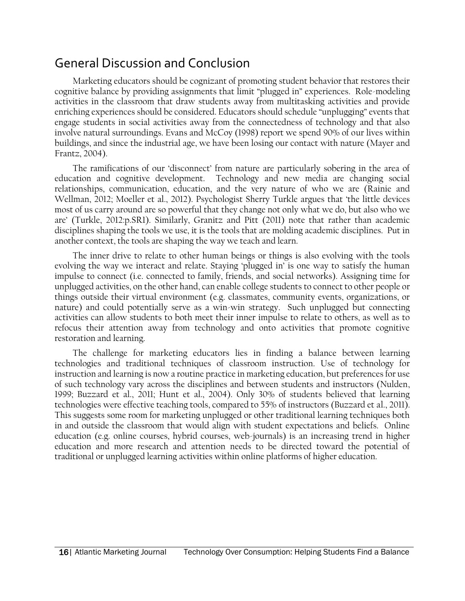## General Discussion and Conclusion

Marketing educators should be cognizant of promoting student behavior that restores their cognitive balance by providing assignments that limit "plugged in" experiences. Role-modeling activities in the classroom that draw students away from multitasking activities and provide enriching experiences should be considered. Educators should schedule "unplugging" events that engage students in social activities away from the connectedness of technology and that also involve natural surroundings. Evans and McCoy (1998) report we spend 90% of our lives within buildings, and since the industrial age, we have been losing our contact with nature (Mayer and Frantz, 2004).

The ramifications of our 'disconnect' from nature are particularly sobering in the area of education and cognitive development. Technology and new media are changing social relationships, communication, education, and the very nature of who we are (Rainie and Wellman, 2012; Moeller et al., 2012). Psychologist Sherry Turkle argues that 'the little devices most of us carry around are so powerful that they change not only what we do, but also who we are' (Turkle, 2012:p.SR1). Similarly, Granitz and Pitt (2011) note that rather than academic disciplines shaping the tools we use, it is the tools that are molding academic disciplines. Put in another context, the tools are shaping the way we teach and learn.

The inner drive to relate to other human beings or things is also evolving with the tools evolving the way we interact and relate. Staying 'plugged in' is one way to satisfy the human impulse to connect (i.e. connected to family, friends, and social networks). Assigning time for unplugged activities, on the other hand, can enable college students to connect to other people or things outside their virtual environment (e.g. classmates, community events, organizations, or nature) and could potentially serve as a win-win strategy. Such unplugged but connecting activities can allow students to both meet their inner impulse to relate to others, as well as to refocus their attention away from technology and onto activities that promote cognitive restoration and learning.

The challenge for marketing educators lies in finding a balance between learning technologies and traditional techniques of classroom instruction. Use of technology for instruction and learning is now a routine practice in marketing education, but preferences for use of such technology vary across the disciplines and between students and instructors (Nulden, 1999; Buzzard et al., 2011; Hunt et al., 2004). Only 30% of students believed that learning technologies were effective teaching tools, compared to 55% of instructors (Buzzard et al., 2011). This suggests some room for marketing unplugged or other traditional learning techniques both in and outside the classroom that would align with student expectations and beliefs. Online education (e.g. online courses, hybrid courses, web-journals) is an increasing trend in higher education and more research and attention needs to be directed toward the potential of traditional or unplugged learning activities within online platforms of higher education.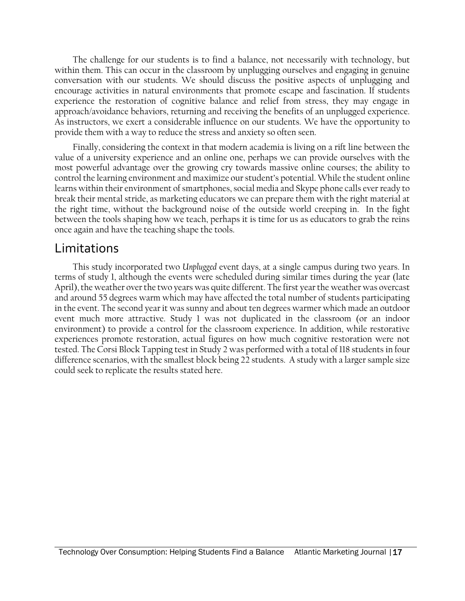The challenge for our students is to find a balance, not necessarily with technology, but within them. This can occur in the classroom by unplugging ourselves and engaging in genuine conversation with our students. We should discuss the positive aspects of unplugging and encourage activities in natural environments that promote escape and fascination. If students experience the restoration of cognitive balance and relief from stress, they may engage in approach/avoidance behaviors, returning and receiving the benefits of an unplugged experience. As instructors, we exert a considerable influence on our students. We have the opportunity to provide them with a way to reduce the stress and anxiety so often seen.

Finally, considering the context in that modern academia is living on a rift line between the value of a university experience and an online one, perhaps we can provide ourselves with the most powerful advantage over the growing cry towards massive online courses; the ability to control the learning environment and maximize our student's potential. While the student online learns within their environment of smartphones, social media and Skype phone calls ever ready to break their mental stride, as marketing educators we can prepare them with the right material at the right time, without the background noise of the outside world creeping in. In the fight between the tools shaping how we teach, perhaps it is time for us as educators to grab the reins once again and have the teaching shape the tools.

### Limitations

This study incorporated two *Unplugged* event days, at a single campus during two years. In terms of study 1, although the events were scheduled during similar times during the year (late April), the weather over the two years was quite different. The first year the weather was overcast and around 55 degrees warm which may have affected the total number of students participating in the event. The second year it was sunny and about ten degrees warmer which made an outdoor event much more attractive. Study 1 was not duplicated in the classroom (or an indoor environment) to provide a control for the classroom experience. In addition, while restorative experiences promote restoration, actual figures on how much cognitive restoration were not tested. The Corsi Block Tapping test in Study 2 was performed with a total of 118 students in four difference scenarios, with the smallest block being 22 students. A study with a larger sample size could seek to replicate the results stated here.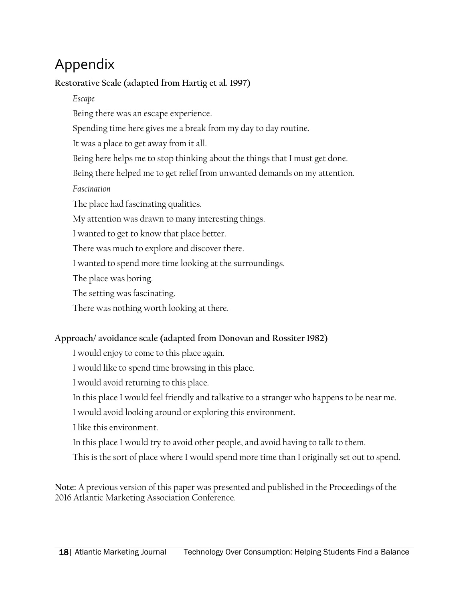# Appendix

**Restorative Scale (adapted from Hartig et al. 1997)**

*Escape*

Being there was an escape experience.

Spending time here gives me a break from my day to day routine.

It was a place to get away from it all.

Being here helps me to stop thinking about the things that I must get done.

Being there helped me to get relief from unwanted demands on my attention.

*Fascination*

The place had fascinating qualities.

My attention was drawn to many interesting things.

I wanted to get to know that place better.

There was much to explore and discover there.

I wanted to spend more time looking at the surroundings.

The place was boring.

The setting was fascinating.

There was nothing worth looking at there.

### **Approach/ avoidance scale (adapted from Donovan and Rossiter 1982)**

I would enjoy to come to this place again.

I would like to spend time browsing in this place.

I would avoid returning to this place.

In this place I would feel friendly and talkative to a stranger who happens to be near me.

I would avoid looking around or exploring this environment.

I like this environment.

In this place I would try to avoid other people, and avoid having to talk to them.

This is the sort of place where I would spend more time than I originally set out to spend.

**Note:** A previous version of this paper was presented and published in the Proceedings of the 2016 Atlantic Marketing Association Conference.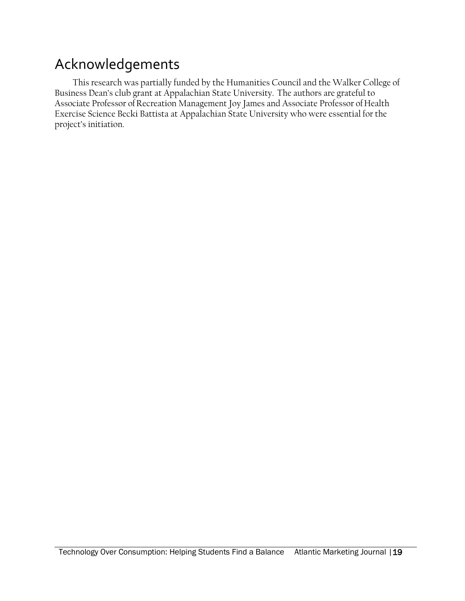# Acknowledgements

This research was partially funded by the Humanities Council and the Walker College of Business Dean's club grant at Appalachian State University. The authors are grateful to Associate Professor of Recreation Management Joy James and Associate Professor of Health Exercise Science Becki Battista at Appalachian State University who were essential for the project's initiation.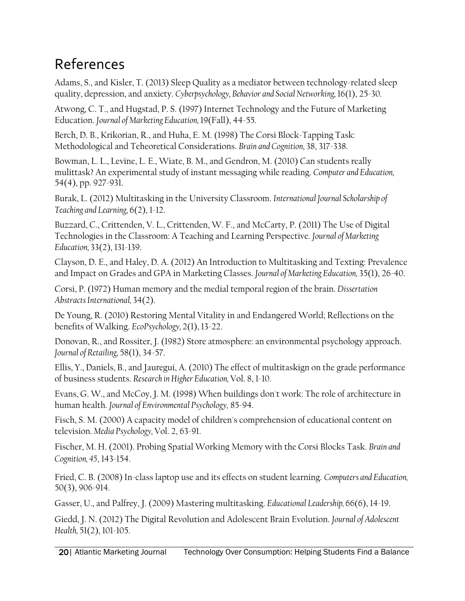# References

Adams, S., and Kisler, T. (2013) Sleep Quality as a mediator between technology-related sleep quality, depression, and anxiety. *Cyberpsychology, Behavior and Social Networking,* 16(1), 25-30.

Atwong, C. T., and Hugstad, P. S. (1997) Internet Technology and the Future of Marketing Education. *Journal of Marketing Education,* 19(Fall), 44-55.

Berch, D. B., Krikorian, R., and Huha, E. M. (1998) The Corsi Block-Tapping Task: Methodological and Teheoretical Considerations. *Brain and Cognition,* 38, 317-338.

Bowman, L. L., Levine, L. E., Wiate, B. M., and Gendron, M. (2010) Can students really mulittask? An experimental study of instant messaging while reading. *Computer and Education,*  54(4), pp. 927-931.

Burak, L. (2012) Multitasking in the University Classroom. *International Journal Scholarship of Teaching and Learning,* 6(2), 1-12.

Buzzard, C., Crittenden, V. L., Crittenden, W. F., and McCarty, P. (2011) The Use of Digital Technologies in the Classroom: A Teaching and Learning Perspective. *Journal of Marketing Education,* 33(2), 131-139.

Clayson, D. E., and Haley, D. A. (2012) An Introduction to Multitasking and Texting: Prevalence and Impact on Grades and GPA in Marketing Classes. *Journal of Marketing Education,* 35(1), 26-40.

Corsi, P. (1972) Human memory and the medial temporal region of the brain. *Dissertation Abstracts International,* 34(2).

De Young, R. (2010) Restoring Mental Vitality in and Endangered World; Reflections on the benefits of Walking. *EcoPsychology,* 2(1), 13-22.

Donovan, R., and Rossiter, J. (1982) Store atmosphere: an environmental psychology approach. *Journal of Retailing,* 58(1), 34-57.

Ellis, Y., Daniels, B., and Jauregui, A. (2010) The effect of multitaskign on the grade performance of business students. *Research in Higher Education,* Vol. 8, 1-10.

Evans, G. W., and McCoy, J. M. (1998) When buildings don't work: The role of architecture in human health. *Journal of Environmental Psychology,* 85-94.

Fisch, S. M. (2000) A capacity model of children's comprehension of educational content on television. *Media Psychology,* Vol. 2, 63-91.

Fischer, M. H. (2001). Probing Spatial Working Memory with the Corsi Blocks Task. *Brain and Cognition, 45*, 143-154.

Fried, C. B. (2008) In-class laptop use and its effects on student learning. *Computers and Education,*  50(3), 906-914.

Gasser, U., and Palfrey, J. (2009) Mastering multitasking. *Educational Leadership,* 66(6), 14-19.

Giedd, J. N. (2012) The Digital Revolution and Adolescent Brain Evolution. *Journal of Adolescent Health,* 51(2), 101-105.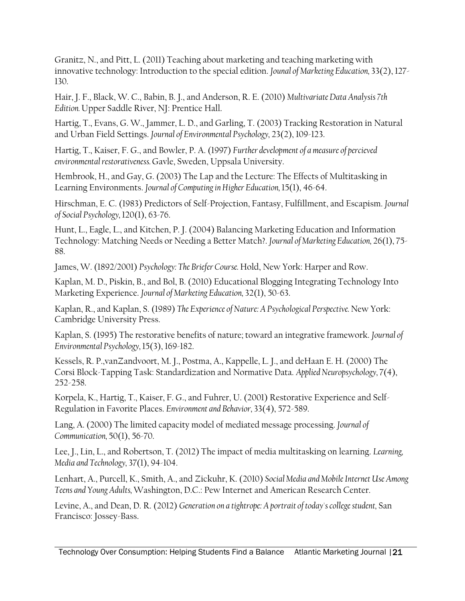Granitz, N., and Pitt, L. (2011) Teaching about marketing and teaching marketing with innovative technology: Introduction to the special edition. *Jounal of Marketing Education,* 33(2), 127- 130.

Hair, J. F., Black, W. C., Babin, B. J., and Anderson, R. E. (2010) *MultivariateData Analysis 7th Edition.* Upper Saddle River, NJ: Prentice Hall.

Hartig, T., Evans, G. W., Jammer, L. D., and Garling, T. (2003) Tracking Restoration in Natural and Urban Field Settings. *Journal of Environmental Psychology,* 23(2), 109-123.

Hartig, T., Kaiser, F. G., and Bowler, P. A. (1997) *Further development of a measure of percieved environmental restorativeness.* Gavle, Sweden, Uppsala University.

Hembrook, H., and Gay, G. (2003) The Lap and the Lecture: The Effects of Multitasking in Learning Environments. *Journal of Computing in Higher Education,* 15(1), 46-64.

Hirschman, E. C. (1983) Predictors of Self-Projection, Fantasy, Fulfillment, and Escapism. *Journal of Social Psychology,* 120(1), 63-76.

Hunt, L., Eagle, L., and Kitchen, P. J. (2004) Balancing Marketing Education and Information Technology: Matching Needs or Needing a Better Match?. *Journal of Marketing Education,* 26(1), 75- 88.

James, W. (1892/2001) *Psychology: The Briefer Course.* Hold, New York: Harper and Row.

Kaplan, M. D., Piskin, B., and Bol, B. (2010) Educational Blogging Integrating Technology Into Marketing Experience. *Journal of Marketing Education,* 32(1), 50-63.

Kaplan, R., and Kaplan, S. (1989) *The Experience of Nature: A Psychological Perspective.* New York: Cambridge University Press.

Kaplan, S. (1995) The restorative benefits of nature; toward an integrative framework. *Journal of Environmental Psychology,* 15(3), 169-182.

Kessels, R. P.,vanZandvoort, M. J., Postma, A., Kappelle, L. J., and deHaan E. H. (2000) The Corsi Block-Tapping Task: Standardization and Normative Data. *Applied Neuropsychology,* 7(4), 252-258.

Korpela, K., Hartig, T., Kaiser, F. G., and Fuhrer, U. (2001) Restorative Experience and Self-Regulation in Favorite Places. *Environment and Behavior,* 33(4), 572-589.

Lang, A. (2000) The limited capacity model of mediated message processing. *Journal of Communication,* 50(1), 56-70.

Lee, J., Lin, L., and Robertson, T. (2012) The impact of media multitasking on learning. *Learning, Media and Technology,* 37(1), 94-104.

Lenhart, A., Purcell, K., Smith, A., and Zickuhr, K. (2010) *Social Media and Mobile Internet Use Among Teens and Young Adults,* Washington, D.C.: Pew Internet and American Research Center.

Levine, A., and Dean, D. R. (2012) *Generation on a tightrope: A portrait of today's college student*, San Francisco: Jossey-Bass.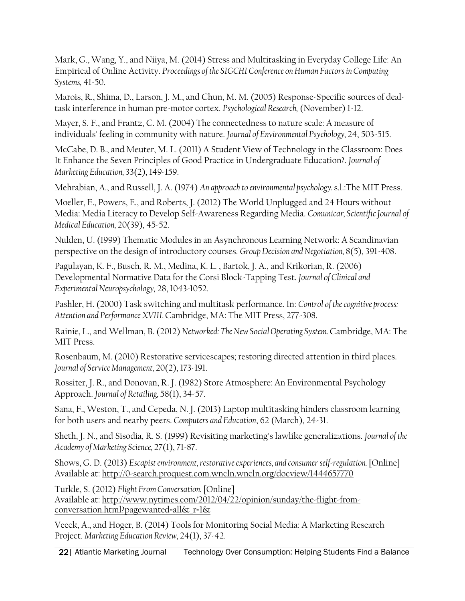Mark, G., Wang, Y., and Niiya, M. (2014) Stress and Multitasking in Everyday College Life: An Empirical of Online Activity. *Proceedings of the SIGCHI Conference on Human Factors in Computing Systems,* 41-50.

Marois, R., Shima, D., Larson, J. M., and Chun, M. M. (2005) Response-Specific sources of dealtask interference in human pre-motor cortex. *Psychological Research,* (November) 1-12.

Mayer, S. F., and Frantz, C. M. (2004) The connectedness to nature scale: A measure of individuals' feeling in community with nature. *Journal of Environmental Psychology,* 24, 503-515.

McCabe, D. B., and Meuter, M. L. (2011) A Student View of Technology in the Classroom: Does It Enhance the Seven Principles of Good Practice in Undergraduate Education?. *Journal of Marketing Education,* 33(2), 149-159.

Mehrabian, A., and Russell, J. A. (1974) *An approach to environmental psychology.* s.l.:The MIT Press.

Moeller, E., Powers, E., and Roberts, J. (2012) The World Unplugged and 24 Hours without Media: Media Literacy to Develop Self-Awareness Regarding Media. *Comunicar, Scientific Journal of Medical Education,* 20(39), 45-52.

Nulden, U. (1999) Thematic Modules in an Asynchronous Learning Network: A Scandinavian perspective on the design of introductory courses. *Group Decision and Negotiation,* 8(5), 391-408.

Pagulayan, K. F., Busch, R. M., Medina, K. L. , Bartok, J. A., and Krikorian, R. (2006) Developmental Normative Data for the Corsi Block-Tapping Test. *Journal of Clinical and Experimental Neuropsychology,* 28, 1043-1052.

Pashler, H. (2000) Task switching and multitask performance. In: *Control of the cognitive process: Attention and PerformanceXVIII.* Cambridge, MA: The MIT Press, 277-308.

Rainie, L., and Wellman, B. (2012) *Networked: The New Social Operating System.* Cambridge, MA: The MIT Press.

Rosenbaum, M. (2010) Restorative servicescapes; restoring directed attention in third places. *Journal of Service Management,* 20(2), 173-191.

Rossiter, J. R., and Donovan, R. J. (1982) Store Atmosphere: An Environmental Psychology Approach. *Journal of Retailing,* 58(1), 34-57.

Sana, F., Weston, T., and Cepeda, N. J. (2013) Laptop multitasking hinders classroom learning for both users and nearby peers. *Computers and Education*, 62 (March), 24-31.

Sheth, J. N., and Sisodia, R. S. (1999) Revisiting marketing's lawlike generalizations. *Journal of the Academy of Marketing Science,* 27(1), 71-87.

Shows, G. D. (2013) *Escapist environment, restorative experiences, and consumer self-regulation.* [Online] Available at: http://0-search.proquest.com.wncln.wncln.org/docview/1444657770

Turkle, S. (2012) *Flight From Conversation.* [Online] Available at: http://www.nytimes.com/2012/04/22/opinion/sunday/the-flight-fromconversation.html?pagewanted=all&\_r=1&

Veeck, A., and Hoger, B. (2014) Tools for Monitoring Social Media: A Marketing Research Project. *Marketing Education Review,* 24(1), 37-42.

22 | Atlantic Marketing Journal Technology Over Consumption: Helping Students Find a Balance